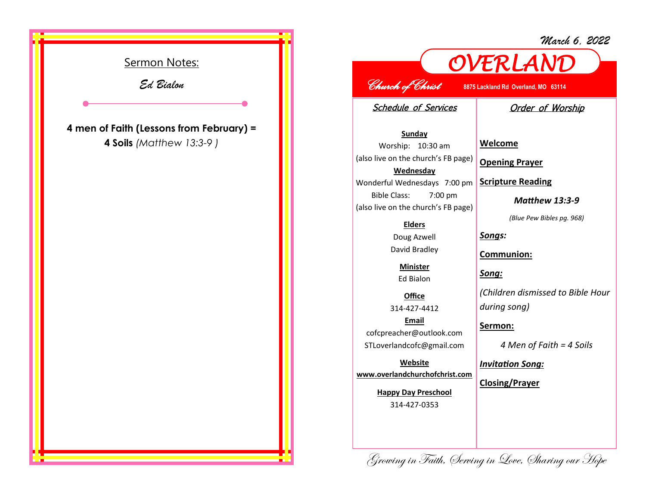*March 6, 2022*



## *OVERLAND Church of Christ* **8875 Lackland Rd Overland, MO 63114**

Schedule of Services

## Order of Worship

**Sunday** Worship: 10:30 am (also live on the church's FB page) **Wednesday** Wonderful Wednesdays 7:00 pm Bible Class: 7:00 pm (also live on the church's FB page)

## **Elders**

Doug Azwell David Bradley

> **Minister** Ed Bialon

**Office** 314-427-4412 **Email** cofcpreacher@outlook.com

STLoverlandcofc@gmail.com

**Website www.overlandchurchofchrist.com**

> **Happy Day Preschool** 314-427-0353

**Welcome**

**Opening Prayer**

**Scripture Reading**

*Matthew 13:3-9*

*(Blue Pew Bibles pg. 968)*

*Songs:*

**Communion:**

*Song:*

*(Children dismissed to Bible Hour during song)*

**Sermon:** 

*4 Men of Faith = 4 Soils*

*Invitation Song:*

**Closing/Prayer**

Growing in Faith, Serving in Love, Sharing our Hope